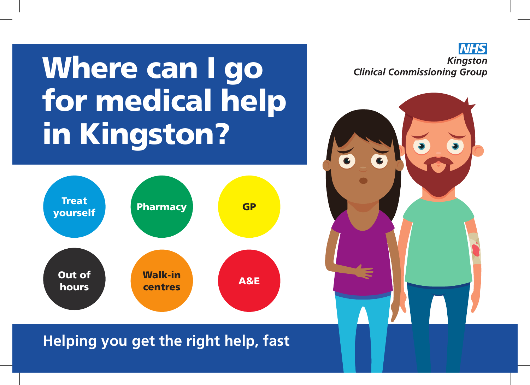## Where can I go for medical help in Kingston?



**NHS Kingston Clinical Commissioning Group** 



## **Helping you get the right help, fast**